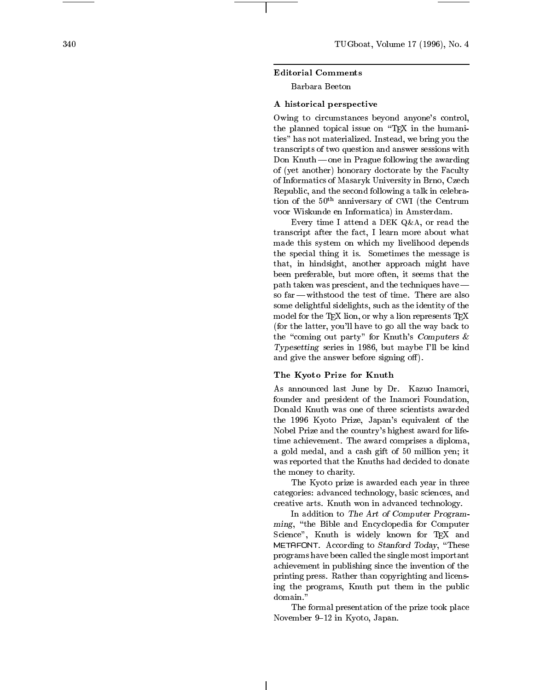## Editorial Comments

Barbara Beeton

#### A historical perspectiv e

Owing to circumstances beyond an yone's control, the planned topical issue on the  $\mathbb{E}[T]$  in the complete on  $\mathbb{E}[T]$ ties" has not materialized. Instead, we bring you the transcripts of t wo question and answer sessions with Don Knuth | one in Prague following the a warding of  $y$  and  $y$  and  $y$  and  $y$  and  $y$  and  $y$  and  $y$  and  $y$  and  $y$  and  $y$  and  $y$  and  $y$  and  $y$  and  $y$  and  $y$  and  $y$  and  $y$  and  $y$  and  $y$  and  $y$  and  $y$  and  $y$  and  $y$  and  $y$  and  $y$  and  $y$  and  $y$  and  $y$ of Informatics of Masaryk University in Brno, Czec h Republic, and the second following a talk in celebration of the  $50<sup>th</sup>$  anniversary of CWI (the Centrum voor Wiskunde en Informatica) in Amsterdam.

Every time I attend a DEK Q&A , or read the transcript after the fact, is seen to speed the fact, where  $\alpha$ made this system on whic h m y livelihood depends the special thing it is. Sometimes the message is that, in high contract and in high contract and in the second state and in the second state and in the second state of the second state and in the second state and state and state and state and state and state and state an been preferable, but more often, it seems that the path taken was prescient, and the techniques ha ve| so  $far$  -withstood the test of time. There are also some delightful sidelights, such as the identity of the model for the TEX lion, or why a lion represents TEX (for the latter, you'll ha ve to go all the w ay back to the "coming out party" for Knuth's Computers  $\&$ Typesetting series in 1986, but maybe I'll be kind and give the answer before signing off).

## The Kyoto Prize for Knuth

As announced last June b y Dr. Kazuo Inamori, founder and presiden t of the Inamori Foundation, the 1996 Kyoto Prize, Japan's equivalen t of the Nobel Prize and the country's highest a ward for lifetime achievement. The award comprises a diploma, a gold medal, and a cash gift of 50 million yen; it was reported that the Knuths had decided to donate the money to charit y .

the Kyoto prize is a warded each year in the state  $\sim$ categories: advanced technology, basic sciences, and creative arts. Knuth won in advanced technology .

In addition to The Art of Computer Programming, "the Bible and Encyclopedia for Computer Science", Knuth is widely known for TEX and METAFONT. According to *Stanford Today*, "These programs may be a called the single most important the single state of  $\mathbb{R}^n$ vention in publishing since the interest of the interest printing press. Rather than copyrighting and licensing the programs, Knuth put them in the public domain."

The formal presentation of the prize took place No vember 9{12 in Kyoto, Japan.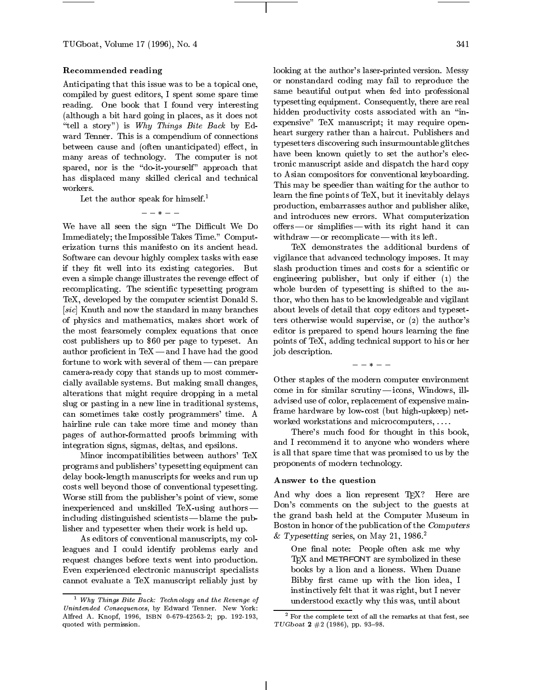TUGboat, Volume 17 (1996), No. 4

# Recommended reading

Anticipating that this issue was to be a topical one, compiled by guest editors, I spent some spare time reading. One book that I found very interesting (although a bit hard going in places, as it does not "tell a story") is Why Things Bite Back by Edward Tenner. This is a compendium of connections between cause and (often unanticipated) effect, in many areas of technology. The computer is not spared, nor is the "do-it-yourself" approach that has displaced many skilled clerical and technical workers.

Let the author speak for himself.<sup>1</sup>

 $- - * - -$ 

We have all seen the sign "The Difficult We Do Immediately; the Impossible Takes Time." Computerization turns this manifesto on its ancient head. Software can devour highly complex tasks with ease if they fit well into its existing categories. But even a simple change illustrates the revenge effect of recomplicating. The scientific typesetting program TeX, developed by the computer scientist Donald S. [sic] Knuth and now the standard in many branches of physics and mathematics, makes short work of the most fearsomely complex equations that once cost publishers up to \$60 per page to typeset. An author proficient in  $TeX$  — and I have had the good fortune to work with several of them  $-\text{can prepare}$ camera-ready copy that stands up to most commercially available systems. But making small changes, alterations that might require dropping in a metal slug or pasting in a new line in traditional systems, can sometimes take costly programmers' time. A hairline rule can take more time and money than pages of author-formatted proofs brimming with integration signs, sigmas, deltas, and epsilons.

Minor incompatibilities between authors' TeX programs and publishers' typesetting equipment can delay book-length manuscripts for weeks and run up costs well beyond those of conventional typesetting. Worse still from the publisher's point of view, some inexperienced and unskilled TeX-using authors| including distinguished scientists  $-$  blame the publisher and typesetter when their work is held up.

As editors of conventional manuscripts, my colleagues and I could identify problems early and request changes before texts went into production. Even experienced electronic manuscript specialists cannot evaluate a TeX manuscript reliably just by looking at the author's laser-printed version. Messy or nonstandard coding may fail to reproduce the same beautiful output when fed into professional typesetting equipment. Consequently, there are real hidden productivity costs associated with an "inexpensive" TeX manuscript; it may require openheart surgery rather than a haircut. Publishers and typesetters discovering such insurmountable glitches have been known quietly to set the author's electronic manuscript aside and dispatch the hard copy to Asian compositors for conventional keyboarding. This may be speedier than waiting for the author to learn the fine points of TeX, but it inevitably delays production, embarrasses author and publisher alike, and introduces new errors. What computerization offers — or simplifies — with its right hand it can withdraw  $-$  or recomplicate  $-$  with its left.

TeX demonstrates the additional burdens of vigilance that advanced technology imposes. It may slash production times and costs for a scientific or engineering publisher, but only if either (1) the whole burden of typesetting is shifted to the author, who then has to be knowledgeable and vigilant about levels of detail that copy editors and typesetters otherwise would supervise, or (2) the author's editor is prepared to spend hours learning the fine points of TeX, adding technical support to his or her job description.

Other staples of the modern computer environment  $\mathop{\rm come}\nolimits$  in for similar scrutiny $\rm -ions,$  Windows, illadvised use of color, replacement of expensive mainframe hardware by low-cost (but high-upkeep) net worked workstations and microcomputers, . . . .

 $- - * - -$ 

There's much food for thought in this book, and I recommend it to anyone who wonders where is all that spare time that was promised to us by the proponents of modern technology.

## Answer to the question

And why does a lion represent TFX? Here are Don's comments on the subject to the guests at the grand bash held at the Computer Museum in Boston in honor of the publication of the Computers & Typesetting series, on May 21, 1986.<sup>2</sup>

One final note: People often ask me why T<sub>E</sub>X and METAFONT are symbolized in these books by a lion and a lioness. When Duane Bibby first came up with the lion idea, I instinctively felt that it was right, but I never understood exactly why this was, until about

<sup>1</sup> Why Things Bite Back: Technology and the Revenge ofUniversity Consequences, by Edwards Tenner. New York: New York: Alfred A. Knopf, 1996, ISBN 0-679-42563-2; pp. 192-193, quoted with permission.

 $\overline{\phantom{x}}$  for the complete text of all the remarks at that fest, see TUGboat  $2 \#2 (1986)$ , pp. 93-98.